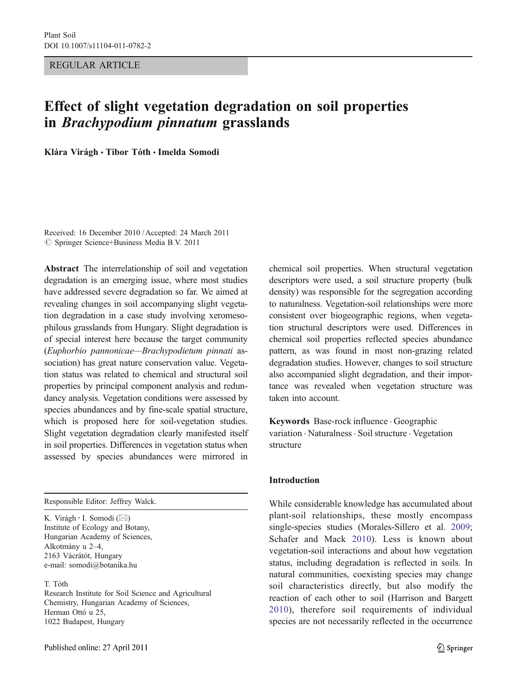REGULAR ARTICLE

# Effect of slight vegetation degradation on soil properties in Brachypodium pinnatum grasslands

Klára Virágh · Tibor Tóth · Imelda Somodi

Received: 16 December 2010 / Accepted: 24 March 2011  $\circledcirc$  Springer Science+Business Media B.V. 2011

Abstract The interrelationship of soil and vegetation degradation is an emerging issue, where most studies have addressed severe degradation so far. We aimed at revealing changes in soil accompanying slight vegetation degradation in a case study involving xeromesophilous grasslands from Hungary. Slight degradation is of special interest here because the target community (Euphorbio pannonicae—Brachypodietum pinnati association) has great nature conservation value. Vegetation status was related to chemical and structural soil properties by principal component analysis and redundancy analysis. Vegetation conditions were assessed by species abundances and by fine-scale spatial structure, which is proposed here for soil-vegetation studies. Slight vegetation degradation clearly manifested itself in soil properties. Differences in vegetation status when assessed by species abundances were mirrored in

Responsible Editor: Jeffrey Walck.

K. Virágh · I. Somodi ( $\boxtimes$ ) Institute of Ecology and Botany, Hungarian Academy of Sciences, Alkotmány u 2–4, 2163 Vácrátót, Hungary e-mail: somodi@botanika.hu

T. Tóth

Research Institute for Soil Science and Agricultural Chemistry, Hungarian Academy of Sciences, Herman Ottó u 25, 1022 Budapest, Hungary

chemical soil properties. When structural vegetation descriptors were used, a soil structure property (bulk density) was responsible for the segregation according to naturalness. Vegetation-soil relationships were more consistent over biogeographic regions, when vegetation structural descriptors were used. Differences in chemical soil properties reflected species abundance pattern, as was found in most non-grazing related degradation studies. However, changes to soil structure also accompanied slight degradation, and their importance was revealed when vegetation structure was taken into account.

Keywords Base-rock influence . Geographic variation . Naturalness. Soil structure . Vegetation structure

#### Introduction

While considerable knowledge has accumulated about plant-soil relationships, these mostly encompass single-species studies (Morales-Sillero et al. [2009;](#page-10-0) Schafer and Mack [2010](#page-10-0)). Less is known about vegetation-soil interactions and about how vegetation status, including degradation is reflected in soils. In natural communities, coexisting species may change soil characteristics directly, but also modify the reaction of each other to soil (Harrison and Bargett [2010\)](#page-9-0), therefore soil requirements of individual species are not necessarily reflected in the occurrence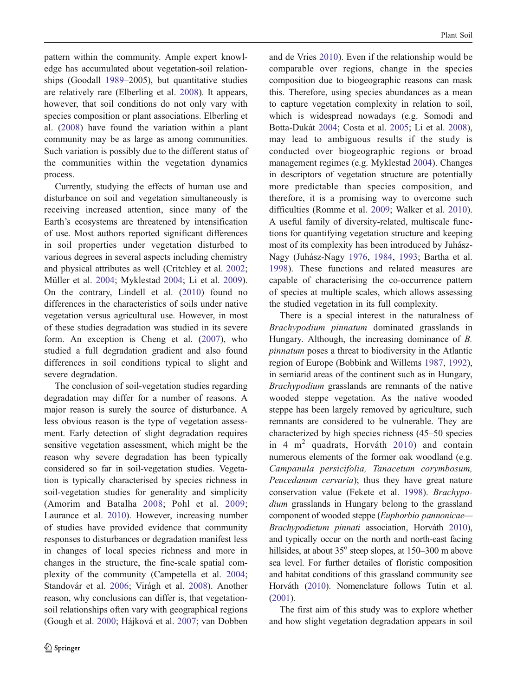pattern within the community. Ample expert knowledge has accumulated about vegetation-soil relationships (Goodall [1989](#page-9-0)–2005), but quantitative studies are relatively rare (Elberling et al. [2008](#page-9-0)). It appears, however, that soil conditions do not only vary with species composition or plant associations. Elberling et al. ([2008\)](#page-9-0) have found the variation within a plant community may be as large as among communities. Such variation is possibly due to the different status of the communities within the vegetation dynamics process.

Currently, studying the effects of human use and disturbance on soil and vegetation simultaneously is receiving increased attention, since many of the Earth's ecosystems are threatened by intensification of use. Most authors reported significant differences in soil properties under vegetation disturbed to various degrees in several aspects including chemistry and physical attributes as well (Critchley et al. [2002](#page-9-0); Müller et al. [2004](#page-10-0); Myklestad [2004](#page-10-0); Li et al. [2009](#page-9-0)). On the contrary, Lindell et al. ([2010\)](#page-9-0) found no differences in the characteristics of soils under native vegetation versus agricultural use. However, in most of these studies degradation was studied in its severe form. An exception is Cheng et al. [\(2007](#page-9-0)), who studied a full degradation gradient and also found differences in soil conditions typical to slight and severe degradation.

The conclusion of soil-vegetation studies regarding degradation may differ for a number of reasons. A major reason is surely the source of disturbance. A less obvious reason is the type of vegetation assessment. Early detection of slight degradation requires sensitive vegetation assessment, which might be the reason why severe degradation has been typically considered so far in soil-vegetation studies. Vegetation is typically characterised by species richness in soil-vegetation studies for generality and simplicity (Amorim and Batalha [2008;](#page-8-0) Pohl et al. [2009](#page-10-0); Laurance et al. [2010\)](#page-9-0). However, increasing number of studies have provided evidence that community responses to disturbances or degradation manifest less in changes of local species richness and more in changes in the structure, the fine-scale spatial complexity of the community (Campetella et al. [2004](#page-9-0); Standovár et al. [2006](#page-10-0); Virágh et al. [2008\)](#page-10-0). Another reason, why conclusions can differ is, that vegetationsoil relationships often vary with geographical regions (Gough et al. [2000;](#page-9-0) Hájková et al. [2007;](#page-9-0) van Dobben and de Vries [2010](#page-10-0)). Even if the relationship would be comparable over regions, change in the species composition due to biogeographic reasons can mask this. Therefore, using species abundances as a mean to capture vegetation complexity in relation to soil, which is widespread nowadays (e.g. Somodi and Botta-Dukát [2004](#page-10-0); Costa et al. [2005;](#page-9-0) Li et al. [2008\)](#page-9-0), may lead to ambiguous results if the study is conducted over biogeographic regions or broad management regimes (e.g. Myklestad [2004\)](#page-10-0). Changes in descriptors of vegetation structure are potentially more predictable than species composition, and therefore, it is a promising way to overcome such difficulties (Romme et al. [2009;](#page-10-0) Walker et al. [2010\)](#page-10-0). A useful family of diversity-related, multiscale functions for quantifying vegetation structure and keeping most of its complexity has been introduced by Juhász-Nagy (Juhász-Nagy [1976](#page-9-0), [1984,](#page-9-0) [1993](#page-9-0); Bartha et al. [1998](#page-8-0)). These functions and related measures are capable of characterising the co-occurrence pattern of species at multiple scales, which allows assessing the studied vegetation in its full complexity.

There is a special interest in the naturalness of Brachypodium pinnatum dominated grasslands in Hungary. Although, the increasing dominance of B. pinnatum poses a threat to biodiversity in the Atlantic region of Europe (Bobbink and Willems [1987](#page-8-0), [1992\)](#page-8-0), in semiarid areas of the continent such as in Hungary, Brachypodium grasslands are remnants of the native wooded steppe vegetation. As the native wooded steppe has been largely removed by agriculture, such remnants are considered to be vulnerable. They are characterized by high species richness (45–50 species in 4  $m<sup>2</sup>$  quadrats, Horváth [2010\)](#page-9-0) and contain numerous elements of the former oak woodland (e.g. Campanula persicifolia, Tanacetum corymbosum, Peucedanum cervaria); thus they have great nature conservation value (Fekete et al. [1998\)](#page-9-0). Brachypodium grasslands in Hungary belong to the grassland component of wooded steppe (Euphorbio pannonicae— Brachypodietum pinnati association, Horváth [2010\)](#page-9-0), and typically occur on the north and north-east facing hillsides, at about  $35^{\circ}$  steep slopes, at  $150-300$  m above sea level. For further detailes of floristic composition and habitat conditions of this grassland community see Horváth ([2010\)](#page-9-0). Nomenclature follows Tutin et al. [\(2001](#page-10-0)).

The first aim of this study was to explore whether and how slight vegetation degradation appears in soil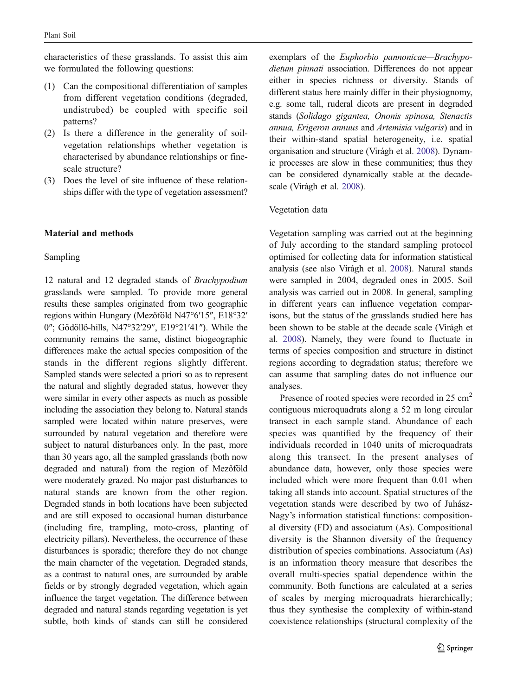characteristics of these grasslands. To assist this aim we formulated the following questions:

- (1) Can the compositional differentiation of samples from different vegetation conditions (degraded, undistrubed) be coupled with specific soil patterns?
- (2) Is there a difference in the generality of soilvegetation relationships whether vegetation is characterised by abundance relationships or finescale structure?
- (3) Does the level of site influence of these relationships differ with the type of vegetation assessment?

## Material and methods

## Sampling

12 natural and 12 degraded stands of Brachypodium grasslands were sampled. To provide more general results these samples originated from two geographic regions within Hungary (Mezőföld N47°6′15″, E18°32′ 0″; Gödöllő-hills, N47°32′29″, E19°21′41″). While the community remains the same, distinct biogeographic differences make the actual species composition of the stands in the different regions slightly different. Sampled stands were selected a priori so as to represent the natural and slightly degraded status, however they were similar in every other aspects as much as possible including the association they belong to. Natural stands sampled were located within nature preserves, were surrounded by natural vegetation and therefore were subject to natural disturbances only. In the past, more than 30 years ago, all the sampled grasslands (both now degraded and natural) from the region of Mezőföld were moderately grazed. No major past disturbances to natural stands are known from the other region. Degraded stands in both locations have been subjected and are still exposed to occasional human disturbance (including fire, trampling, moto-cross, planting of electricity pillars). Nevertheless, the occurrence of these disturbances is sporadic; therefore they do not change the main character of the vegetation. Degraded stands, as a contrast to natural ones, are surrounded by arable fields or by strongly degraded vegetation, which again influence the target vegetation. The difference between degraded and natural stands regarding vegetation is yet subtle, both kinds of stands can still be considered

exemplars of the Euphorbio pannonicae—Brachypodietum pinnati association. Differences do not appear either in species richness or diversity. Stands of different status here mainly differ in their physiognomy, e.g. some tall, ruderal dicots are present in degraded stands (Solidago gigantea, Ononis spinosa, Stenactis annua, Erigeron annuus and Artemisia vulgaris) and in their within-stand spatial heterogeneity, i.e. spatial organisation and structure (Virágh et al. [2008](#page-10-0)). Dynamic processes are slow in these communities; thus they can be considered dynamically stable at the decadescale (Virágh et al. [2008](#page-10-0)).

## Vegetation data

Vegetation sampling was carried out at the beginning of July according to the standard sampling protocol optimised for collecting data for information statistical analysis (see also Virágh et al. [2008\)](#page-10-0). Natural stands were sampled in 2004, degraded ones in 2005. Soil analysis was carried out in 2008. In general, sampling in different years can influence vegetation comparisons, but the status of the grasslands studied here has been shown to be stable at the decade scale (Virágh et al. [2008\)](#page-10-0). Namely, they were found to fluctuate in terms of species composition and structure in distinct regions according to degradation status; therefore we can assume that sampling dates do not influence our analyses.

Presence of rooted species were recorded in 25 cm<sup>2</sup> contiguous microquadrats along a 52 m long circular transect in each sample stand. Abundance of each species was quantified by the frequency of their individuals recorded in 1040 units of microquadrats along this transect. In the present analyses of abundance data, however, only those species were included which were more frequent than 0.01 when taking all stands into account. Spatial structures of the vegetation stands were described by two of Juhász-Nagy's information statistical functions: compositional diversity (FD) and associatum (As). Compositional diversity is the Shannon diversity of the frequency distribution of species combinations. Associatum (As) is an information theory measure that describes the overall multi-species spatial dependence within the community. Both functions are calculated at a series of scales by merging microquadrats hierarchically; thus they synthesise the complexity of within-stand coexistence relationships (structural complexity of the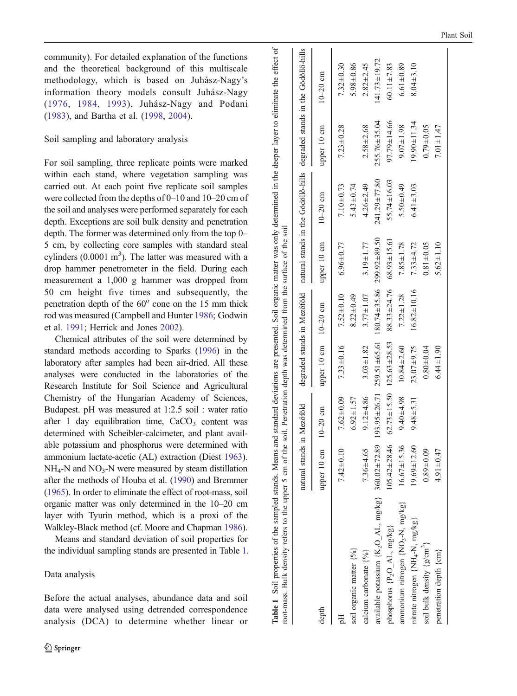community). For detailed explanation of the functions and the theoretical background of this multiscale methodology, which is based on Juhász-Nagy ' s information theory models consult Juhász-Nagy ([1976](#page-9-0), [1984](#page-9-0), [1993\)](#page-9-0), Juhász-Nagy and Podani ([1983\)](#page-9-0), and Bartha et al. ([1998,](#page-8-0) [2004](#page-8-0)).

## Soil sampling and laboratory analysis

For soil sampling, three replicate points were marked within each stand, where vegetation sampling was carried out. At each point five replicate soil samples were collected from the depths of 0 –10 and 10 –20 cm of the soil and analyses were performed separately for each depth. Exceptions are soil bulk density and penetration depth. The former was determined only from the top 0 – 5 cm, by collecting core samples with standard steal cylinders  $(0.0001 \text{ m}^3)$ . The latter was measured with a drop hammer penetrometer in the field. During each measurement a 1,000 g hammer was dropped from 50 cm height five times and subsequently, the penetration depth of the 60° cone on the 15 mm thick rod was measured (Campbell and Hunter [1986](#page-8-0); Godwin et al. [1991](#page-9-0); Herrick and Jones [2002](#page-9-0)).

Chemical attributes of the soil were determined by standard methods according to Sparks ([1996](#page-10-0)) in the laboratory after samples had been air-dried. All these analyses were conducted in the laboratories of the Research Institute for Soil Science and Agricultural Chemistry of the Hungarian Academy of Sciences, Budapest. pH was measured at 1:2.5 soil : water ratio after 1 day equilibration time,  $CaCO<sub>3</sub>$  content was determined with Scheibler-calcimeter, and plant available potassium and phosphorus were determined with ammonium lactate-acetic (AL) extraction (Diest [1963\)](#page-9-0). NH 4-N and NO 3-N were measured by steam distillation after the methods of Houba et al. [\(1990\)](#page-9-0) and Bremmer ([1965](#page-8-0)). In order to eliminate the effect of root-mass, soil organic matter was only determined in the 10 –20 cm layer with Tyurin method, which is a proxi of the Walkley-Black method (cf. Moore and Chapman [1986\)](#page-10-0).

Means and standard deviation of soil properties for the individual sampling stands are presented in Table 1 .

#### Data analysis

Before the actual analyses, abundance data and soil data were analysed using detrended correspondence analysis (DCA) to determine whether linear or

|                                                                                                                  | natural           | stands in Mezőföld                 |                                      |                   |                                     |                   |                    | degraded stands in Mezőföld natural stands in the Gödöllő-hills degraded stands in the Gödöllő-hills |
|------------------------------------------------------------------------------------------------------------------|-------------------|------------------------------------|--------------------------------------|-------------------|-------------------------------------|-------------------|--------------------|------------------------------------------------------------------------------------------------------|
| depth                                                                                                            | upper             | $10 \text{ cm}$ $10-20 \text{ cm}$ | upper 10 cm 10-20 cm                 |                   | upper 10 cm 10-20 cm                |                   | upper 10 cm        | $10 - 20$ cm                                                                                         |
|                                                                                                                  | $7.42 \pm 0.10$   | $7.62 \pm 0.09$                    | $7.33 \pm 0.16$                      | $7.52 \pm 0.10$   | $6.96 \pm 0.77$                     | $7.10 + 0.73$     | $7.23 \pm 0.28$    | $7.32 + 0.30$                                                                                        |
| soil organic matter {%}                                                                                          |                   | $6.92 \pm 1.57$                    |                                      | $8.22 \pm 0.49$   |                                     | $5.43 \pm 0.74$   |                    | $5.98 + 0.86$                                                                                        |
| calcium carbonate {%}                                                                                            | $7.36 + 4.65$     | $9.12 \pm 4.86$                    | $3.03 + 1.82$                        | $3.77 \pm 1.07$   | $3.19 + 1.77$                       | $4.26 \pm 2.49$   | $2.58 + 2.68$      | $2.82 \pm 2.45$                                                                                      |
| wailable potassium {K <sub>2</sub> O_AL, mg/kg} 360.02±72.89 193.95±26.71 259.51±65.61 180.74±35.86 299.92±89.50 |                   |                                    |                                      |                   |                                     | $241.29 + 77.80$  | $255.76 \pm 35.04$ | $141.73 \pm 19.72$                                                                                   |
| phosphorus {P <sub>2</sub> O_AL, mg/kg}                                                                          | $05.42 \pm 28.46$ |                                    | $62.73 \pm 15.50$ $125.63 \pm 28.53$ |                   | $88.33 \pm 24.76$ 68.93 $\pm 15.61$ | $55.74 \pm 16.03$ | $97.79 \pm 14.66$  | $60.11 \pm 7.83$                                                                                     |
| ammonium nitrogen {NO <sub>3</sub> -N, mg/kg}                                                                    | $16.67 \pm 15.36$ | $9.40 + 4.98$                      | $10.84 \pm 2.60$                     | $7.22 \pm 1.28$   | $7.85 \pm 1.78$                     | $5.50 \pm 0.49$   | $9.07 \pm 1.98$    | $6.61 \pm 0.89$                                                                                      |
| nitrate nitrogen {NH <sub>4</sub> -N, mg/kg}                                                                     | $19.69 \pm 12.60$ | $9.48 \pm 5.31$                    | $23.07 + 9.75$                       | $16.82 \pm 10.16$ | $7.33 + 4.72$                       | $6.41 \pm 3.03$   | $19.90 \pm 11.34$  | $8.04 \pm 3.10$                                                                                      |
| soil bulk density {g/cm <sup>3</sup> }                                                                           | $0.89 \pm 0.09$   |                                    | $0.80 + 0.04$                        |                   | $0.81 \pm 0.05$                     |                   | $0.79 \pm 0.05$    |                                                                                                      |
| penetration depth {cm}                                                                                           | $4.91 \pm 0.47$   |                                    | $6.44 \pm 1.90$                      |                   | $5.62 \pm 1.10$                     |                   | $7.01 \pm 1.47$    |                                                                                                      |
|                                                                                                                  |                   |                                    |                                      |                   |                                     |                   |                    |                                                                                                      |
|                                                                                                                  |                   |                                    |                                      |                   |                                     |                   |                    |                                                                                                      |

Table 1 Soil properties of the sampled stands. Means and standard deviations are presented. Soil organic matter was only determined in the deeper layer to eliminate the effect of

Table 1 Soil properties of the sampled stands. Means and standard deviations are presented. Soil organic matter was only determined in the deeper layer to eliminate the effect

 $\sigma$ 

root-mass. Bulk density refers to the upper 5 cm of the soil. Penetration depth was determined from the surface of the soil

coot-mass. Bulk density refers to the upper 5 cm of the soil. Penetration depth was determined from the surface of the soil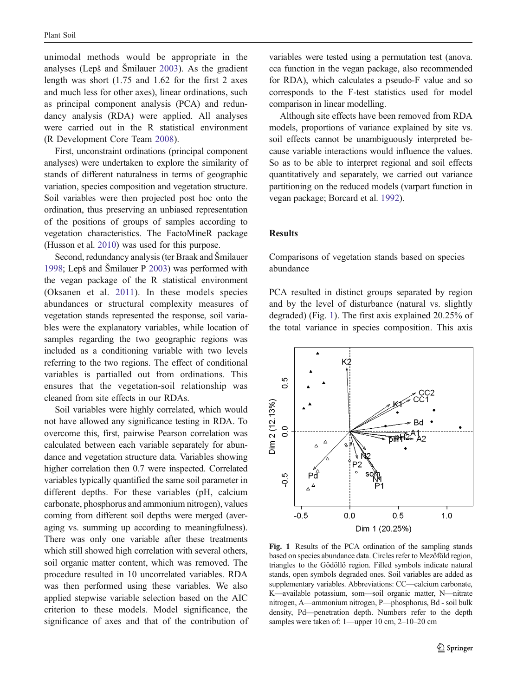<span id="page-4-0"></span>unimodal methods would be appropriate in the analyses (Lepš and Šmilauer [2003\)](#page-9-0). As the gradient length was short (1.75 and 1.62 for the first 2 axes and much less for other axes), linear ordinations, such as principal component analysis (PCA) and redundancy analysis (RDA) were applied. All analyses were carried out in the R statistical environment (R Development Core Team [2008](#page-10-0)).

First, unconstraint ordinations (principal component analyses) were undertaken to explore the similarity of stands of different naturalness in terms of geographic variation, species composition and vegetation structure. Soil variables were then projected post hoc onto the ordination, thus preserving an unbiased representation of the positions of groups of samples according to vegetation characteristics. The FactoMineR package (Husson et al. [2010\)](#page-9-0) was used for this purpose.

Second, redundancy analysis (ter Braak and Šmilauer [1998](#page-10-0); Lepš and Šmilauer P [2003](#page-9-0)) was performed with the vegan package of the R statistical environment (Oksanen et al. [2011](#page-10-0)). In these models species abundances or structural complexity measures of vegetation stands represented the response, soil variables were the explanatory variables, while location of samples regarding the two geographic regions was included as a conditioning variable with two levels referring to the two regions. The effect of conditional variables is partialled out from ordinations. This ensures that the vegetation-soil relationship was cleaned from site effects in our RDAs.

Soil variables were highly correlated, which would not have allowed any significance testing in RDA. To overcome this, first, pairwise Pearson correlation was calculated between each variable separately for abundance and vegetation structure data. Variables showing higher correlation then 0.7 were inspected. Correlated variables typically quantified the same soil parameter in different depths. For these variables (pH, calcium carbonate, phosphorus and ammonium nitrogen), values coming from different soil depths were merged (averaging vs. summing up according to meaningfulness). There was only one variable after these treatments which still showed high correlation with several others, soil organic matter content, which was removed. The procedure resulted in 10 uncorrelated variables. RDA was then performed using these variables. We also applied stepwise variable selection based on the AIC criterion to these models. Model significance, the significance of axes and that of the contribution of variables were tested using a permutation test (anova. cca function in the vegan package, also recommended for RDA), which calculates a pseudo-F value and so corresponds to the F-test statistics used for model comparison in linear modelling.

Although site effects have been removed from RDA models, proportions of variance explained by site vs. soil effects cannot be unambiguously interpreted because variable interactions would influence the values. So as to be able to interpret regional and soil effects quantitatively and separately, we carried out variance partitioning on the reduced models (varpart function in vegan package; Borcard et al. [1992\)](#page-8-0).

#### Results

Comparisons of vegetation stands based on species abundance

PCA resulted in distinct groups separated by region and by the level of disturbance (natural vs. slightly degraded) (Fig. 1). The first axis explained 20.25% of the total variance in species composition. This axis



Fig. 1 Results of the PCA ordination of the sampling stands based on species abundance data. Circles refer to Mezőföld region, triangles to the Gödöllő region. Filled symbols indicate natural stands, open symbols degraded ones. Soil variables are added as supplementary variables. Abbreviations: CC—calcium carbonate, K—available potassium, som—soil organic matter, N—nitrate nitrogen, A—ammonium nitrogen, P—phosphorus, Bd - soil bulk density, Pd—penetration depth. Numbers refer to the depth samples were taken of: 1—upper 10 cm, 2–10–20 cm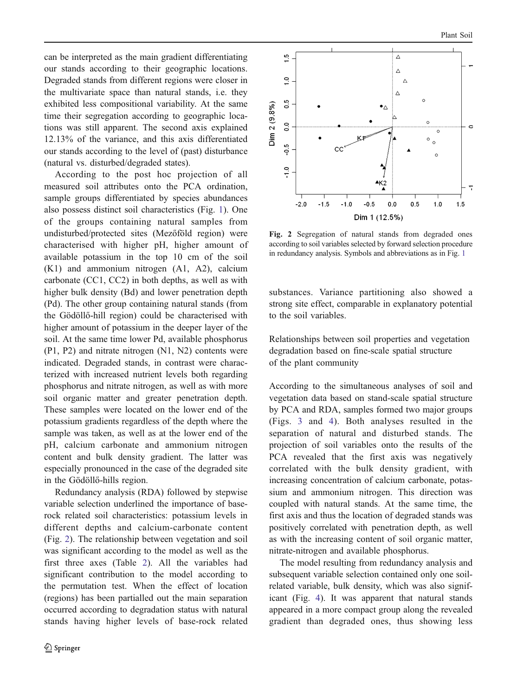can be interpreted as the main gradient differentiating our stands according to their geographic locations. Degraded stands from different regions were closer in the multivariate space than natural stands, i.e. they exhibited less compositional variability. At the same time their segregation according to geographic locations was still apparent. The second axis explained 12.13% of the variance, and this axis differentiated our stands according to the level of (past) disturbance (natural vs. disturbed/degraded states).

According to the post hoc projection of all measured soil attributes onto the PCA ordination, sample groups differentiated by species abundances also possess distinct soil characteristics (Fig. [1](#page-4-0)). One of the groups containing natural samples from undisturbed/protected sites (Mezőföld region) were characterised with higher pH, higher amount of available potassium in the top 10 cm of the soil (K1) and ammonium nitrogen (A1, A2), calcium carbonate (CC1, CC2) in both depths, as well as with higher bulk density (Bd) and lower penetration depth (Pd). The other group containing natural stands (from the Gödöllő-hill region) could be characterised with higher amount of potassium in the deeper layer of the soil. At the same time lower Pd, available phosphorus (P1, P2) and nitrate nitrogen (N1, N2) contents were indicated. Degraded stands, in contrast were characterized with increased nutrient levels both regarding phosphorus and nitrate nitrogen, as well as with more soil organic matter and greater penetration depth. These samples were located on the lower end of the potassium gradients regardless of the depth where the sample was taken, as well as at the lower end of the pH, calcium carbonate and ammonium nitrogen content and bulk density gradient. The latter was especially pronounced in the case of the degraded site in the Gödöllő-hills region.

Redundancy analysis (RDA) followed by stepwise variable selection underlined the importance of baserock related soil characteristics: potassium levels in different depths and calcium-carbonate content (Fig. 2). The relationship between vegetation and soil was significant according to the model as well as the first three axes (Table [2\)](#page-6-0). All the variables had significant contribution to the model according to the permutation test. When the effect of location (regions) has been partialled out the main separation occurred according to degradation status with natural stands having higher levels of base-rock related



Fig. 2 Segregation of natural stands from degraded ones according to soil variables selected by forward selection procedure in redundancy analysis. Symbols and abbreviations as in Fig. [1](#page-4-0)

substances. Variance partitioning also showed a strong site effect, comparable in explanatory potential to the soil variables.

Relationships between soil properties and vegetation degradation based on fine-scale spatial structure of the plant community

According to the simultaneous analyses of soil and vegetation data based on stand-scale spatial structure by PCA and RDA, samples formed two major groups (Figs. [3](#page-6-0) and [4](#page-7-0)). Both analyses resulted in the separation of natural and disturbed stands. The projection of soil variables onto the results of the PCA revealed that the first axis was negatively correlated with the bulk density gradient, with increasing concentration of calcium carbonate, potassium and ammonium nitrogen. This direction was coupled with natural stands. At the same time, the first axis and thus the location of degraded stands was positively correlated with penetration depth, as well as with the increasing content of soil organic matter, nitrate-nitrogen and available phosphorus.

The model resulting from redundancy analysis and subsequent variable selection contained only one soilrelated variable, bulk density, which was also significant (Fig. [4](#page-7-0)). It was apparent that natural stands appeared in a more compact group along the revealed gradient than degraded ones, thus showing less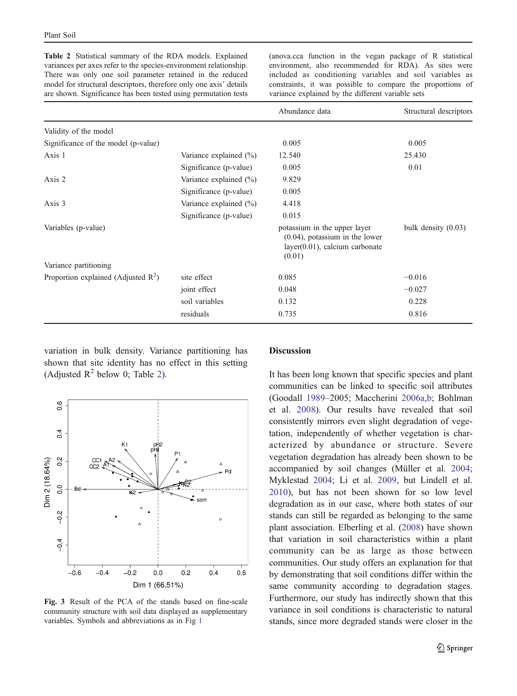| moder for subclurar descriptors, increased only one axis details<br>are shown. Significance has been tested using permutation tests |                            | constraints, it was possible to compare the proportions of<br>variance explained by the different variable sets  |                        |
|-------------------------------------------------------------------------------------------------------------------------------------|----------------------------|------------------------------------------------------------------------------------------------------------------|------------------------|
|                                                                                                                                     |                            | Abundance data                                                                                                   | Structural descriptors |
| Validity of the model                                                                                                               |                            |                                                                                                                  |                        |
| Significance of the model (p-value)                                                                                                 |                            | 0.005                                                                                                            | 0.005                  |
| Axis 1                                                                                                                              | Variance explained $(\% )$ | 12.540                                                                                                           | 25.430                 |
|                                                                                                                                     | Significance (p-value)     | 0.005                                                                                                            | 0.01                   |
| Axis 2                                                                                                                              | Variance explained $(\% )$ | 9.829                                                                                                            |                        |
|                                                                                                                                     | Significance (p-value)     | 0.005                                                                                                            |                        |
| Axis 3                                                                                                                              | Variance explained $(\% )$ | 4.418                                                                                                            |                        |
|                                                                                                                                     | Significance (p-value)     | 0.015                                                                                                            |                        |
| Variables (p-value)                                                                                                                 |                            | potassium in the upper layer<br>$(0.04)$ , potassium in the lower<br>$layer(0.01)$ , calcium carbonate<br>(0.01) | bulk density $(0.03)$  |
| Variance partitioning                                                                                                               |                            |                                                                                                                  |                        |
| Proportion explained (Adjusted $R^2$ )                                                                                              | site effect                | 0.085                                                                                                            | $-0.016$               |
|                                                                                                                                     | joint effect               | 0.048                                                                                                            | $-0.027$               |
|                                                                                                                                     | soil variables             | 0.132                                                                                                            | 0.228                  |
|                                                                                                                                     | residuals                  | 0.735                                                                                                            | 0.816                  |

<span id="page-6-0"></span>Table 2 Statistical summary of the RDA models. Explained variances per axes refer to the species-environment relationship. There was only one soil parameter retained in the reduced model for structural descriptors, therefore only one axis' details

(anova.cca function in the vegan package of R statistical environment, also recommended for RDA). As sites were included as conditioning variables and soil variables as constraints, it was possible to compare the proportions of

variation in bulk density. Variance partitioning has shown that site identity has no effect in this setting (Adjusted  $\mathbb{R}^2$  below 0; Table 2).



Fig. 3 Result of the PCA of the stands based on fine-scale community structure with soil data displayed as supplementary variables. Symbols and abbreviations as in Fig [1](#page-4-0)

## **Discussion**

It has been long known that specific species and plant communities can be linked to specific soil attributes (Goodall [1989](#page-9-0)–2005; Maccherini [2006a,b](#page-9-0); Bohlman et al. [2008](#page-8-0)). Our results have revealed that soil consistently mirrors even slight degradation of vegetation, independently of whether vegetation is characterized by abundance or structure. Severe vegetation degradation has already been shown to be accompanied by soil changes (Müller et al. [2004;](#page-10-0) Myklestad [2004;](#page-10-0) Li et al. [2009,](#page-9-0) but Lindell et al. [2010\)](#page-9-0), but has not been shown for so low level degradation as in our case, where both states of our stands can still be regarded as belonging to the same plant association. Elberling et al. [\(2008](#page-9-0)) have shown that variation in soil characteristics within a plant community can be as large as those between communities. Our study offers an explanation for that by demonstrating that soil conditions differ within the same community according to degradation stages. Furthermore, our study has indirectly shown that this variance in soil conditions is characteristic to natural stands, since more degraded stands were closer in the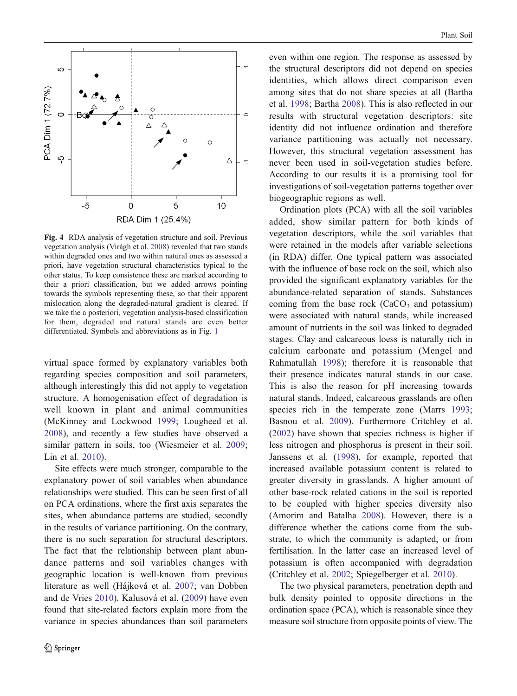<span id="page-7-0"></span>

Fig. 4 RDA analysis of vegetation structure and soil. Previous vegetation analysis (Virágh et al. [2008](#page-10-0)) revealed that two stands within degraded ones and two within natural ones as assessed a priori, have vegetation structural characteristics typical to the other status. To keep consistence these are marked according to their a priori classification, but we added arrows pointing towards the symbols representing these, so that their apparent mislocation along the degraded-natural gradient is cleared. If we take the a posteriori, vegetation analysis-based classification for them, degraded and natural stands are even better differentiated. Symbols and abbreviations as in Fig. [1](#page-4-0)

virtual space formed by explanatory variables both regarding species composition and soil parameters, although interestingly this did not apply to vegetation structure. A homogenisation effect of degradation is well known in plant and animal communities (McKinney and Lockwood [1999](#page-9-0); Lougheed et al. [2008\)](#page-9-0), and recently a few studies have observed a similar pattern in soils, too (Wiesmeier et al. [2009](#page-10-0); Lin et al. [2010\)](#page-9-0).

Site effects were much stronger, comparable to the explanatory power of soil variables when abundance relationships were studied. This can be seen first of all on PCA ordinations, where the first axis separates the sites, when abundance patterns are studied, secondly in the results of variance partitioning. On the contrary, there is no such separation for structural descriptors. The fact that the relationship between plant abundance patterns and soil variables changes with geographic location is well-known from previous literature as well (Hájková et al. [2007](#page-9-0); van Dobben and de Vries [2010](#page-10-0)). Kalusová et al. ([2009](#page-9-0)) have even found that site-related factors explain more from the variance in species abundances than soil parameters even within one region. The response as assessed by the structural descriptors did not depend on species identities, which allows direct comparison even among sites that do not share species at all (Bartha et al. [1998](#page-8-0); Bartha [2008\)](#page-8-0). This is also reflected in our results with structural vegetation descriptors: site identity did not influence ordination and therefore variance partitioning was actually not necessary. However, this structural vegetation assessment has never been used in soil-vegetation studies before. According to our results it is a promising tool for investigations of soil-vegetation patterns together over biogeographic regions as well.

Ordination plots (PCA) with all the soil variables added, show similar pattern for both kinds of vegetation descriptors, while the soil variables that were retained in the models after variable selections (in RDA) differ. One typical pattern was associated with the influence of base rock on the soil, which also provided the significant explanatory variables for the abundance-related separation of stands. Substances coming from the base rock  $(CaCO<sub>3</sub>$  and potassium) were associated with natural stands, while increased amount of nutrients in the soil was linked to degraded stages. Clay and calcareous loess is naturally rich in calcium carbonate and potassium (Mengel and Rahmatullah [1998](#page-9-0)); therefore it is reasonable that their presence indicates natural stands in our case. This is also the reason for pH increasing towards natural stands. Indeed, calcareous grasslands are often species rich in the temperate zone (Marrs [1993;](#page-9-0) Basnou et al. [2009\)](#page-8-0). Furthermore Critchley et al. [\(2002](#page-9-0)) have shown that species richness is higher if less nitrogen and phosphorus is present in their soil. Janssens et al. [\(1998](#page-9-0)), for example, reported that increased available potassium content is related to greater diversity in grasslands. A higher amount of other base-rock related cations in the soil is reported to be coupled with higher species diversity also (Amorim and Batalha [2008\)](#page-8-0). However, there is a difference whether the cations come from the substrate, to which the community is adapted, or from fertilisation. In the latter case an increased level of potassium is often accompanied with degradation (Critchley et al. [2002](#page-9-0); Spiegelberger et al. [2010](#page-10-0)).

The two physical parameters, penetration depth and bulk density pointed to opposite directions in the ordination space (PCA), which is reasonable since they measure soil structure from opposite points of view. The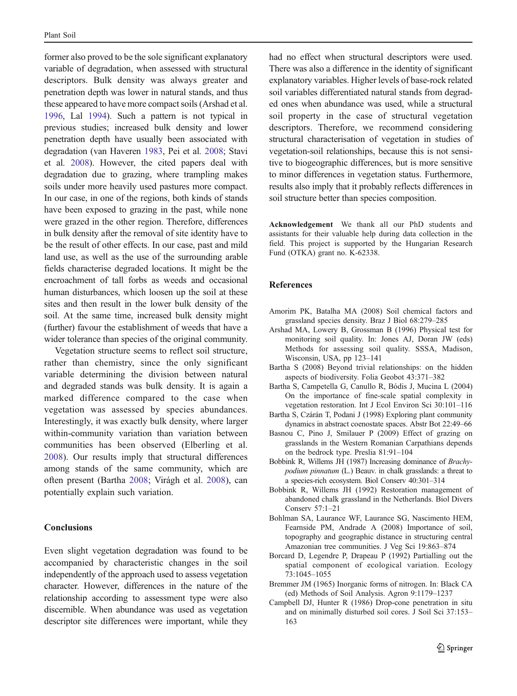<span id="page-8-0"></span>former also proved to be the sole significant explanatory variable of degradation, when assessed with structural descriptors. Bulk density was always greater and penetration depth was lower in natural stands, and thus these appeared to have more compact soils (Arshad et al. 1996, Lal [1994\)](#page-9-0). Such a pattern is not typical in previous studies; increased bulk density and lower penetration depth have usually been associated with degradation (van Haveren [1983](#page-10-0), Pei et al. [2008](#page-10-0); Stavi et al. [2008](#page-10-0)). However, the cited papers deal with degradation due to grazing, where trampling makes soils under more heavily used pastures more compact. In our case, in one of the regions, both kinds of stands have been exposed to grazing in the past, while none were grazed in the other region. Therefore, differences in bulk density after the removal of site identity have to be the result of other effects. In our case, past and mild land use, as well as the use of the surrounding arable fields characterise degraded locations. It might be the encroachment of tall forbs as weeds and occasional human disturbances, which loosen up the soil at these sites and then result in the lower bulk density of the soil. At the same time, increased bulk density might (further) favour the establishment of weeds that have a wider tolerance than species of the original community.

Vegetation structure seems to reflect soil structure, rather than chemistry, since the only significant variable determining the division between natural and degraded stands was bulk density. It is again a marked difference compared to the case when vegetation was assessed by species abundances. Interestingly, it was exactly bulk density, where larger within-community variation than variation between communities has been observed (Elberling et al. [2008\)](#page-9-0). Our results imply that structural differences among stands of the same community, which are often present (Bartha 2008; Virágh et al. [2008\)](#page-10-0), can potentially explain such variation.

#### Conclusions

Even slight vegetation degradation was found to be accompanied by characteristic changes in the soil independently of the approach used to assess vegetation character. However, differences in the nature of the relationship according to assessment type were also discernible. When abundance was used as vegetation descriptor site differences were important, while they had no effect when structural descriptors were used. There was also a difference in the identity of significant explanatory variables. Higher levels of base-rock related soil variables differentiated natural stands from degraded ones when abundance was used, while a structural soil property in the case of structural vegetation descriptors. Therefore, we recommend considering structural characterisation of vegetation in studies of vegetation-soil relationships, because this is not sensitive to biogeographic differences, but is more sensitive to minor differences in vegetation status. Furthermore, results also imply that it probably reflects differences in soil structure better than species composition.

Acknowledgement We thank all our PhD students and assistants for their valuable help during data collection in the field. This project is supported by the Hungarian Research Fund (OTKA) grant no. K-62338.

#### References

- Amorim PK, Batalha MA (2008) Soil chemical factors and grassland species density. Braz J Biol 68:279–285
- Arshad MA, Lowery B, Grossman B (1996) Physical test for monitoring soil quality. In: Jones AJ, Doran JW (eds) Methods for assessing soil quality. SSSA, Madison, Wisconsin, USA, pp 123–141
- Bartha S (2008) Beyond trivial relationships: on the hidden aspects of biodiversity. Folia Geobot 43:371–382
- Bartha S, Campetella G, Canullo R, Bódis J, Mucina L (2004) On the importance of fine-scale spatial complexity in vegetation restoration. Int J Ecol Environ Sci 30:101–116
- Bartha S, Czárán T, Podani J (1998) Exploring plant community dynamics in abstract coenostate spaces. Abstr Bot 22:49–66
- Basnou C, Pino J, Smilauer P (2009) Effect of grazing on grasslands in the Western Romanian Carpathians depends on the bedrock type. Preslia 81:91–104
- Bobbink R, Willems JH (1987) Increasing dominance of Brachypodium pinnatum (L.) Beauv. in chalk grasslands: a threat to a species-rich ecosystem. Biol Conserv 40:301–314
- Bobbink R, Willems JH (1992) Restoration management of abandoned chalk grassland in the Netherlands. Biol Divers Conserv 57:1–21
- Bohlman SA, Laurance WF, Laurance SG, Nascimento HEM, Fearnside PM, Andrade A (2008) Importance of soil, topography and geographic distance in structuring central Amazonian tree communities. J Veg Sci 19:863–874
- Borcard D, Legendre P, Drapeau P (1992) Partialling out the spatial component of ecological variation. Ecology 73:1045–1055
- Bremmer JM (1965) Inorganic forms of nitrogen. In: Black CA (ed) Methods of Soil Analysis. Agron 9:1179–1237
- Campbell DJ, Hunter R (1986) Drop-cone penetration in situ and on minimally disturbed soil cores. J Soil Sci 37:153– 163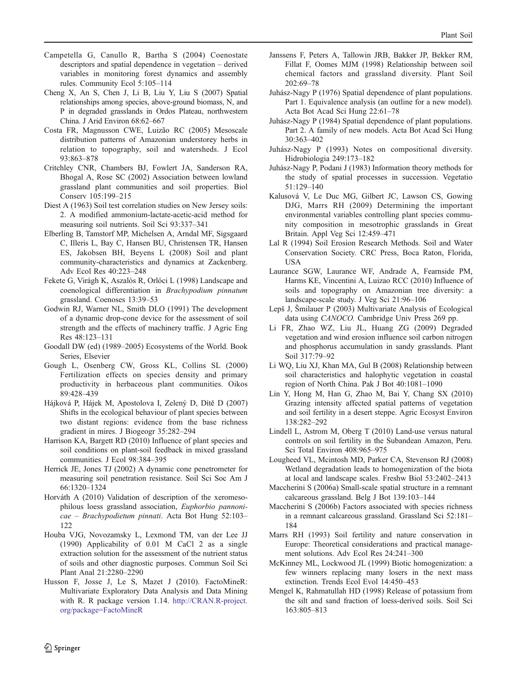- <span id="page-9-0"></span>Campetella G, Canullo R, Bartha S (2004) Coenostate descriptors and spatial dependence in vegetation – derived variables in monitoring forest dynamics and assembly rules. Community Ecol 5:105–114
- Cheng X, An S, Chen J, Li B, Liu Y, Liu S (2007) Spatial relationships among species, above-ground biomass, N, and P in degraded grasslands in Ordos Plateau, northwestern China. J Arid Environ 68:62–667
- Costa FR, Magnusson CWE, Luizão RC (2005) Mesoscale distribution patterns of Amazonian understorey herbs in relation to topography, soil and watersheds. J Ecol 93:863–878
- Critchley CNR, Chambers BJ, Fowlert JA, Sanderson RA, Bhogal A, Rose SC (2002) Association between lowland grassland plant communities and soil properties. Biol Conserv 105:199–215
- Diest A (1963) Soil test correlation studies on New Jersey soils: 2. A modified ammonium-lactate-acetic-acid method for measuring soil nutrients. Soil Sci 93:337–341
- Elberling B, Tamstorf MP, Michelsen A, Arndal MF, Sigsgaard C, Illeris L, Bay C, Hansen BU, Christensen TR, Hansen ES, Jakobsen BH, Beyens L (2008) Soil and plant community-characteristics and dynamics at Zackenberg. Adv Ecol Res 40:223–248
- Fekete G, Virágh K, Aszalós R, Orlóci L (1998) Landscape and coenological differentiation in Brachypodium pinnatum grassland. Coenoses 13:39–53
- Godwin RJ, Warner NL, Smith DLO (1991) The development of a dynamic drop-cone device for the assessment of soil strength and the effects of machinery traffic. J Agric Eng Res 48:123–131
- Goodall DW (ed) (1989–2005) Ecosystems of the World. Book Series, Elsevier
- Gough L, Osenberg CW, Gross KL, Collins SL (2000) Fertilization effects on species density and primary productivity in herbaceous plant communities. Oikos 89:428–439
- Hájková P, Hájek M, Apostolova I, Zelený D, Dítě D (2007) Shifts in the ecological behaviour of plant species between two distant regions: evidence from the base richness gradient in mires. J Biogeogr 35:282–294
- Harrison KA, Bargett RD (2010) Influence of plant species and soil conditions on plant-soil feedback in mixed grassland communities. J Ecol 98:384–395
- Herrick JE, Jones TJ (2002) A dynamic cone penetrometer for measuring soil penetration resistance. Soil Sci Soc Am J 66:1320–1324
- Horváth A (2010) Validation of description of the xeromesophilous loess grassland association, Euphorbio pannonicae – Brachypodietum pinnati. Acta Bot Hung 52:103– 122
- Houba VJG, Novozamsky L, Lexmond TM, van der Lee JJ (1990) Applicability of 0.01 M CaCl 2 as a single extraction solution for the assessment of the nutrient status of soils and other diagnostic purposes. Commun Soil Sci Plant Anal 21:2280–2290
- Husson F, Josse J, Le S, Mazet J (2010). FactoMineR: Multivariate Exploratory Data Analysis and Data Mining with R. R package version 1.14. [http://CRAN.R-project.](http://CRAN.R-project.org/package=FactoMineR) [org/package=FactoMineR](http://CRAN.R-project.org/package=FactoMineR)
- Janssens F, Peters A, Tallowin JRB, Bakker JP, Bekker RM, Fillat F, Oomes MJM (1998) Relationship between soil chemical factors and grassland diversity. Plant Soil 202:69–78
- Juhász-Nagy P (1976) Spatial dependence of plant populations. Part 1. Equivalence analysis (an outline for a new model). Acta Bot Acad Sci Hung 22:61–78
- Juhász-Nagy P (1984) Spatial dependence of plant populations. Part 2. A family of new models. Acta Bot Acad Sci Hung 30:363–402
- Juhász-Nagy P (1993) Notes on compositional diversity. Hidrobiologia 249:173–182
- Juhász-Nagy P, Podani J (1983) Information theory methods for the study of spatial processes in succession. Vegetatio 51:129–140
- Kalusová V, Le Duc MG, Gilbert JC, Lawson CS, Gowing DJG, Marrs RH (2009) Determining the important environmental variables controlling plant species community composition in mesotrophic grasslands in Great Britain. Appl Veg Sci 12:459–471
- Lal R (1994) Soil Erosion Research Methods. Soil and Water Conservation Society. CRC Press, Boca Raton, Florida, USA
- Laurance SGW, Laurance WF, Andrade A, Fearnside PM, Harms KE, Vincentini A, Luizao RCC (2010) Influence of soils and topography on Amazonian tree diversity: a landscape-scale study. J Veg Sci 21:96–106
- Lepš J, Šmilauer P (2003) Multivariate Analysis of Ecological data using CANOCO. Cambridge Univ Press 269 pp.
- Li FR, Zhao WZ, Liu JL, Huang ZG (2009) Degraded vegetation and wind erosion influence soil carbon nitrogen and phosphorus accumulation in sandy grasslands. Plant Soil 317:79–92
- Li WQ, Liu XJ, Khan MA, Gul B (2008) Relationship between soil characteristics and halophytic vegetation in coastal region of North China. Pak J Bot 40:1081–1090
- Lin Y, Hong M, Han G, Zhao M, Bai Y, Chang SX (2010) Grazing intensity affected spatial patterns of vegetation and soil fertility in a desert steppe. Agric Ecosyst Environ 138:282–292
- Lindell L, Astrom M, Oberg T (2010) Land-use versus natural controls on soil fertility in the Subandean Amazon, Peru. Sci Total Environ 408:965–975
- Lougheed VL, Mcintosh MD, Parker CA, Stevenson RJ (2008) Wetland degradation leads to homogenization of the biota at local and landscape scales. Freshw Biol 53:2402–2413
- Maccherini S (2006a) Small-scale spatial structure in a remnant calcareous grassland. Belg J Bot 139:103–144
- Maccherini S (2006b) Factors associated with species richness in a remnant calcareous grassland. Grassland Sci 52:181– 184
- Marrs RH (1993) Soil fertility and nature conservation in Europe: Theoretical considerations and practical management solutions. Adv Ecol Res 24:241–300
- McKinney ML, Lockwood JL (1999) Biotic homogenization: a few winners replacing many losers in the next mass extinction. Trends Ecol Evol 14:450–453
- Mengel K, Rahmatullah HD (1998) Release of potassium from the silt and sand fraction of loess-derived soils. Soil Sci 163:805–813